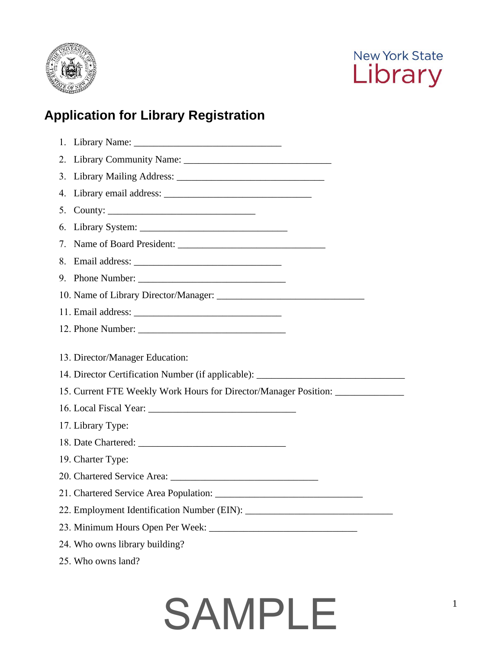



### **Application for Library Registration**

| 6. |                                                                                  |
|----|----------------------------------------------------------------------------------|
|    |                                                                                  |
|    |                                                                                  |
|    |                                                                                  |
|    |                                                                                  |
|    |                                                                                  |
|    |                                                                                  |
|    |                                                                                  |
|    | 13. Director/Manager Education:                                                  |
|    |                                                                                  |
|    | 14. Director Certification Number (if applicable): _____________________________ |
|    | 15. Current FTE Weekly Work Hours for Director/Manager Position: _______________ |
|    |                                                                                  |
|    | 17. Library Type:                                                                |
|    |                                                                                  |
|    | 19. Charter Type:                                                                |
|    |                                                                                  |
|    |                                                                                  |
|    |                                                                                  |
|    |                                                                                  |
|    | 24. Who owns library building?                                                   |
|    | 25. Who owns land?                                                               |

## SAMPLE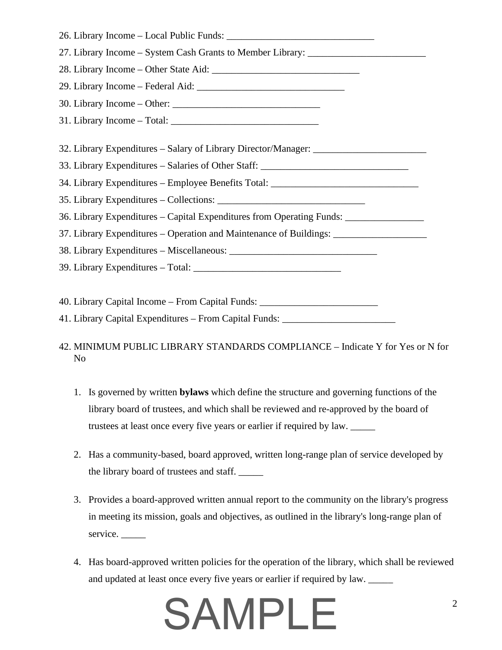| 27. Library Income - System Cash Grants to Member Library: _____________________  |
|-----------------------------------------------------------------------------------|
|                                                                                   |
|                                                                                   |
|                                                                                   |
|                                                                                   |
| 32. Library Expenditures – Salary of Library Director/Manager: _________________  |
| 33. Library Expenditures – Salaries of Other Staff: ____________________________  |
| 34. Library Expenditures - Employee Benefits Total: ____________________________  |
|                                                                                   |
| 36. Library Expenditures – Capital Expenditures from Operating Funds: ___________ |
| 37. Library Expenditures – Operation and Maintenance of Buildings: ______________ |
|                                                                                   |
|                                                                                   |
| 40. Library Capital Income – From Capital Funds: _______________________________  |

41. Library Capital Expenditures – From Capital Funds: \_\_\_\_\_\_\_\_\_\_\_\_\_\_\_\_\_\_\_\_\_\_\_\_\_

- 42. MINIMUM PUBLIC LIBRARY STANDARDS COMPLIANCE Indicate Y for Yes or N for No
	- 1. Is governed by written **bylaws** which define the structure and governing functions of the library board of trustees, and which shall be reviewed and re-approved by the board of trustees at least once every five years or earlier if required by law. \_\_\_\_\_
	- 2. Has a community-based, board approved, written long-range plan of service developed by the library board of trustees and staff. \_\_\_\_\_
	- 3. Provides a board-approved written annual report to the community on the library's progress in meeting its mission, goals and objectives, as outlined in the library's long-range plan of service.
	- 4. Has board-approved written policies for the operation of the library, which shall be reviewed and updated at least once every five years or earlier if required by law.

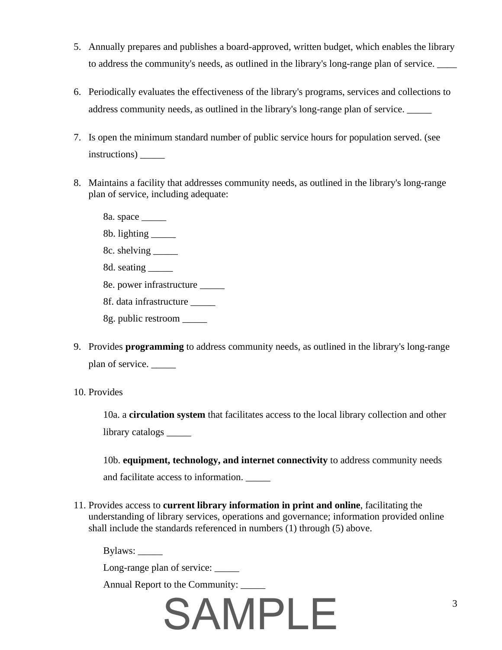- 5. Annually prepares and publishes a board-approved, written budget, which enables the library to address the community's needs, as outlined in the library's long-range plan of service.
- 6. Periodically evaluates the effectiveness of the library's programs, services and collections to address community needs, as outlined in the library's long-range plan of service.
- 7. Is open the minimum standard number of public service hours for population served. (see instructions) \_\_\_\_\_
- plan of service, including adequate: 8. Maintains a facility that addresses community needs, as outlined in the library's long-range
	- 8a. space \_\_\_\_\_
	- 8b. lighting \_\_\_\_\_
	- 8c. shelving \_\_\_\_\_
	- 8d. seating
	- 8e. power infrastructure \_\_\_\_\_
	- 8f. data infrastructure \_\_\_\_\_
	- 8g. public restroom \_\_\_\_\_
- 9. Provides **programming** to address community needs, as outlined in the library's long-range plan of service.
- 10. Provides

10a. a **circulation system** that facilitates access to the local library collection and other library catalogs \_\_\_\_\_

10b. **equipment, technology, and internet connectivity** to address community needs and facilitate access to information.

11. Provides access to **current library information in print and online**, facilitating the understanding of library services, operations and governance; information provided online shall include the standards referenced in numbers (1) through (5) above.

Bylaws: \_\_\_\_\_\_

Long-range plan of service: \_\_\_\_\_\_

Annual Report to the Community: \_\_\_\_\_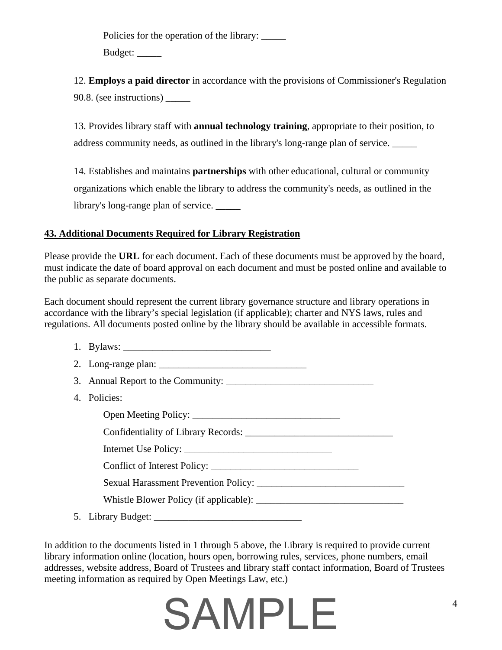Policies for the operation of the library: \_\_\_\_\_\_ Budget: \_\_\_\_\_

12. **Employs a paid director** in accordance with the provisions of Commissioner's Regulation 90.8. (see instructions) \_\_\_\_\_

13. Provides library staff with **annual technology training**, appropriate to their position, to address community needs, as outlined in the library's long-range plan of service.

14. Establishes and maintains **partnerships** with other educational, cultural or community organizations which enable the library to address the community's needs, as outlined in the library's long-range plan of service. \_\_\_\_\_

#### **43. Additional Documents Required for Library Registration**

the public as separate documents. Please provide the **URL** for each document. Each of these documents must be approved by the board, must indicate the date of board approval on each document and must be posted online and available to

 regulations. All documents posted online by the library should be available in accessible formats. Each document should represent the current library governance structure and library operations in accordance with the library's special legislation (if applicable); charter and NYS laws, rules and

| 4. Policies: |  |  |  |  |
|--------------|--|--|--|--|
|              |  |  |  |  |
|              |  |  |  |  |
|              |  |  |  |  |
|              |  |  |  |  |
|              |  |  |  |  |
|              |  |  |  |  |
|              |  |  |  |  |

In addition to the documents listed in 1 through 5 above, the Library is required to provide current library information online (location, hours open, borrowing rules, services, phone numbers, email addresses, website address, Board of Trustees and library staff contact information, Board of Trustees meeting information as required by Open Meetings Law, etc.)